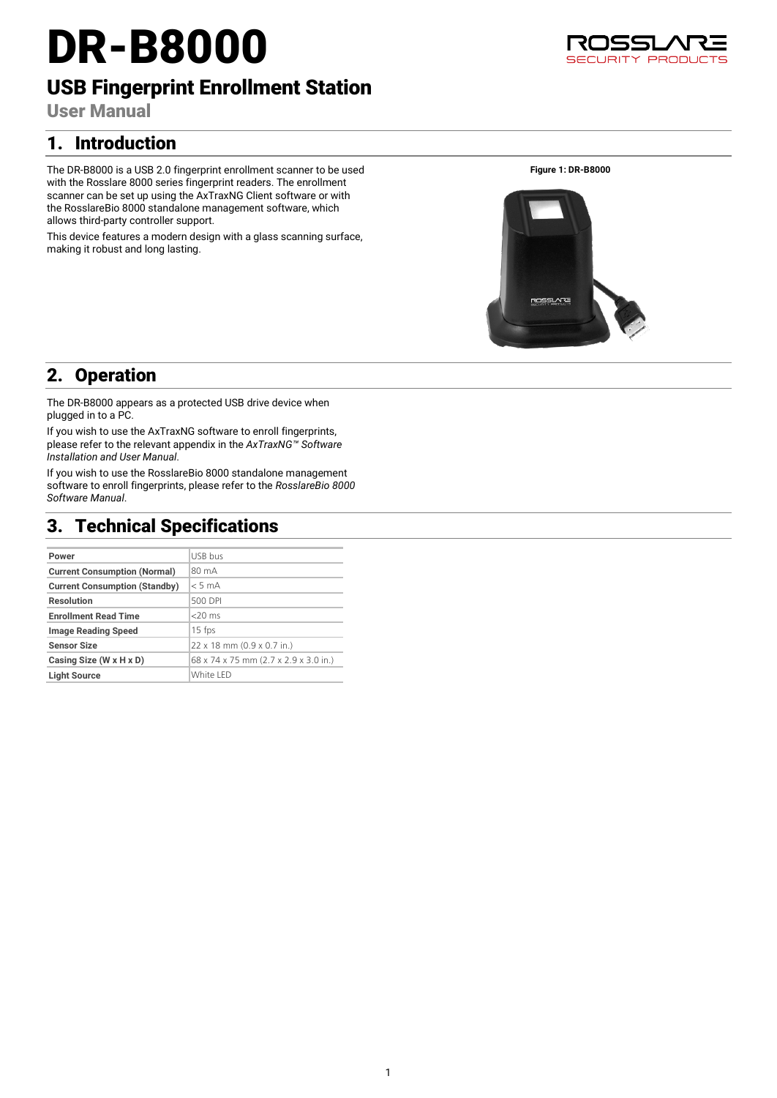# DR-B8000

## USB Fingerprint Enrollment Station

User Manual

## 1. Introduction

The DR-B8000 is a USB 2.0 fingerprint enrollment scanner to be used with the Rosslare 8000 series fingerprint readers. The enrollment scanner can be set up using the AxTraxNG Client software or with the RosslareBio 8000 standalone management software, which allows third-party controller support.

This device features a modern design with a glass scanning surface, making it robust and long lasting.

**Figure 1: DR-B8000**



## 2. Operation

The DR-B8000 appears as a protected USB drive device when plugged in to a PC.

If you wish to use the AxTraxNG software to enroll fingerprints, please refer to the relevant appendix in the *AxTraxNG™ Software Installation and User Manual*.

If you wish to use the RosslareBio 8000 standalone management software to enroll fingerprints, please refer to the *RosslareBio 8000 Software Manual*.

## 3. Technical Specifications

| Power                                | USB bus                               |
|--------------------------------------|---------------------------------------|
| <b>Current Consumption (Normal)</b>  | 80 mA                                 |
| <b>Current Consumption (Standby)</b> | < 5 mA                                |
| <b>Resolution</b>                    | 500 DPI                               |
| <b>Enrollment Read Time</b>          | $<$ 20 $ms$                           |
| <b>Image Reading Speed</b>           | $15$ fps                              |
| <b>Sensor Size</b>                   | 22 x 18 mm (0.9 x 0.7 in.)            |
| Casing Size (W x H x D)              | 68 x 74 x 75 mm (2.7 x 2.9 x 3.0 in.) |
| <b>Light Source</b>                  | White LED                             |
|                                      |                                       |